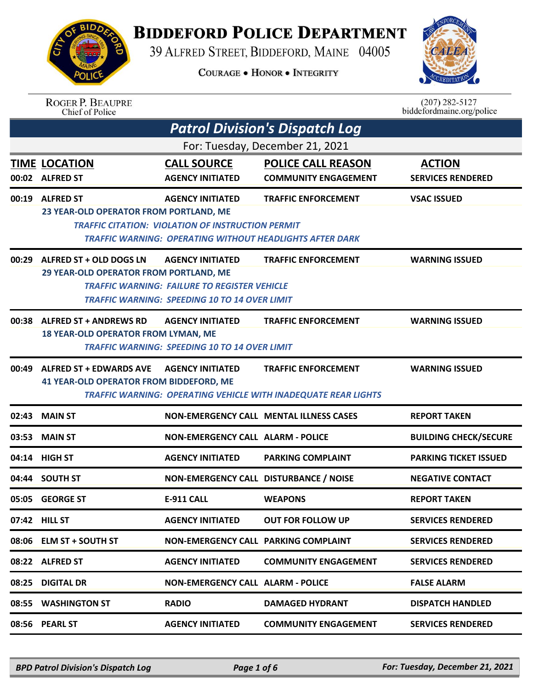

## **BIDDEFORD POLICE DEPARTMENT**

39 ALFRED STREET, BIDDEFORD, MAINE 04005

**COURAGE . HONOR . INTEGRITY** 



| <b>ROGER P. BEAUPRE</b> |  |
|-------------------------|--|
| Chief of Police         |  |

 $(207)$  282-5127<br>biddefordmaine.org/police

| <b>Patrol Division's Dispatch Log</b> |                                                                                  |                                                                                                                                        |                                                                                                     |                                           |  |
|---------------------------------------|----------------------------------------------------------------------------------|----------------------------------------------------------------------------------------------------------------------------------------|-----------------------------------------------------------------------------------------------------|-------------------------------------------|--|
| For: Tuesday, December 21, 2021       |                                                                                  |                                                                                                                                        |                                                                                                     |                                           |  |
|                                       | <b>TIME LOCATION</b><br>00:02 ALFRED ST                                          | <b>CALL SOURCE</b><br><b>AGENCY INITIATED</b>                                                                                          | <b>POLICE CALL REASON</b><br><b>COMMUNITY ENGAGEMENT</b>                                            | <b>ACTION</b><br><b>SERVICES RENDERED</b> |  |
|                                       | 00:19 ALFRED ST<br>23 YEAR-OLD OPERATOR FROM PORTLAND, ME                        | <b>AGENCY INITIATED</b><br><b>TRAFFIC CITATION: VIOLATION OF INSTRUCTION PERMIT</b>                                                    | <b>TRAFFIC ENFORCEMENT</b><br>TRAFFIC WARNING: OPERATING WITHOUT HEADLIGHTS AFTER DARK              | <b>VSAC ISSUED</b>                        |  |
| 00:29                                 | ALFRED ST + OLD DOGS LN<br><b>29 YEAR-OLD OPERATOR FROM PORTLAND, ME</b>         | <b>AGENCY INITIATED</b><br><b>TRAFFIC WARNING: FAILURE TO REGISTER VEHICLE</b><br><b>TRAFFIC WARNING: SPEEDING 10 TO 14 OVER LIMIT</b> | <b>TRAFFIC ENFORCEMENT</b>                                                                          | <b>WARNING ISSUED</b>                     |  |
|                                       | 00:38 ALFRED ST + ANDREWS RD<br><b>18 YEAR-OLD OPERATOR FROM LYMAN, ME</b>       | <b>AGENCY INITIATED</b><br><b>TRAFFIC WARNING: SPEEDING 10 TO 14 OVER LIMIT</b>                                                        | <b>TRAFFIC ENFORCEMENT</b>                                                                          | <b>WARNING ISSUED</b>                     |  |
| 00:49                                 | <b>ALFRED ST + EDWARDS AVE</b><br><b>41 YEAR-OLD OPERATOR FROM BIDDEFORD, ME</b> | <b>AGENCY INITIATED</b>                                                                                                                | <b>TRAFFIC ENFORCEMENT</b><br><b>TRAFFIC WARNING: OPERATING VEHICLE WITH INADEQUATE REAR LIGHTS</b> | <b>WARNING ISSUED</b>                     |  |
| 02:43                                 | <b>MAIN ST</b>                                                                   |                                                                                                                                        | <b>NON-EMERGENCY CALL MENTAL ILLNESS CASES</b>                                                      | <b>REPORT TAKEN</b>                       |  |
| 03:53                                 | <b>MAIN ST</b>                                                                   | <b>NON-EMERGENCY CALL ALARM - POLICE</b>                                                                                               |                                                                                                     | <b>BUILDING CHECK/SECURE</b>              |  |
| 04:14                                 | <b>HIGH ST</b>                                                                   | <b>AGENCY INITIATED</b>                                                                                                                | <b>PARKING COMPLAINT</b>                                                                            | <b>PARKING TICKET ISSUED</b>              |  |
| 04:44                                 | <b>SOUTH ST</b>                                                                  | NON-EMERGENCY CALL DISTURBANCE / NOISE                                                                                                 |                                                                                                     | <b>NEGATIVE CONTACT</b>                   |  |
| 05:05                                 | <b>GEORGE ST</b>                                                                 | <b>E-911 CALL</b>                                                                                                                      | <b>WEAPONS</b>                                                                                      | <b>REPORT TAKEN</b>                       |  |
|                                       | 07:42 HILL ST                                                                    | <b>AGENCY INITIATED</b>                                                                                                                | <b>OUT FOR FOLLOW UP</b>                                                                            | <b>SERVICES RENDERED</b>                  |  |
|                                       | 08:06 ELM ST + SOUTH ST                                                          | NON-EMERGENCY CALL PARKING COMPLAINT                                                                                                   |                                                                                                     | <b>SERVICES RENDERED</b>                  |  |
|                                       | 08:22 ALFRED ST                                                                  | <b>AGENCY INITIATED</b>                                                                                                                | <b>COMMUNITY ENGAGEMENT</b>                                                                         | <b>SERVICES RENDERED</b>                  |  |
| 08:25                                 | <b>DIGITAL DR</b>                                                                | <b>NON-EMERGENCY CALL ALARM - POLICE</b>                                                                                               |                                                                                                     | <b>FALSE ALARM</b>                        |  |
| 08:55                                 | <b>WASHINGTON ST</b>                                                             | <b>RADIO</b>                                                                                                                           | <b>DAMAGED HYDRANT</b>                                                                              | <b>DISPATCH HANDLED</b>                   |  |
|                                       | 08:56 PEARL ST                                                                   | <b>AGENCY INITIATED</b>                                                                                                                | <b>COMMUNITY ENGAGEMENT</b>                                                                         | <b>SERVICES RENDERED</b>                  |  |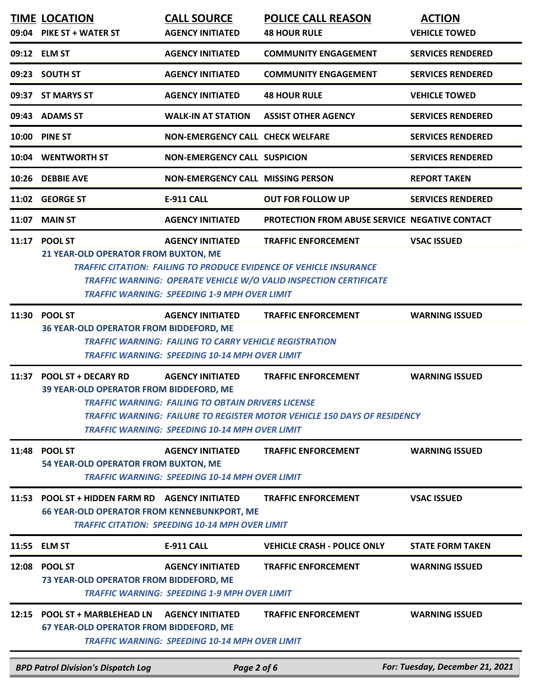|       | <b>BPD Patrol Division's Dispatch Log</b>                                             | Page 2 of 6                                                                                                                                       |                                                                                                                                                                              | For: Tuesday, December 21, 2021       |
|-------|---------------------------------------------------------------------------------------|---------------------------------------------------------------------------------------------------------------------------------------------------|------------------------------------------------------------------------------------------------------------------------------------------------------------------------------|---------------------------------------|
| 12:15 | <b>POOL ST + MARBLEHEAD LN</b><br><b>67 YEAR-OLD OPERATOR FROM BIDDEFORD, ME</b>      | <b>AGENCY INITIATED</b><br><b>TRAFFIC WARNING: SPEEDING 10-14 MPH OVER LIMIT</b>                                                                  | <b>TRAFFIC ENFORCEMENT</b>                                                                                                                                                   | <b>WARNING ISSUED</b>                 |
|       | 12:08 POOL ST<br>73 YEAR-OLD OPERATOR FROM BIDDEFORD, ME                              | <b>AGENCY INITIATED</b><br><b>TRAFFIC WARNING: SPEEDING 1-9 MPH OVER LIMIT</b>                                                                    | <b>TRAFFIC ENFORCEMENT</b>                                                                                                                                                   | <b>WARNING ISSUED</b>                 |
|       | 11:55 ELM ST                                                                          | <b>E-911 CALL</b>                                                                                                                                 | <b>VEHICLE CRASH - POLICE ONLY</b>                                                                                                                                           | <b>STATE FORM TAKEN</b>               |
| 11:53 | <b>POOL ST + HIDDEN FARM RD</b><br><b>66 YEAR-OLD OPERATOR FROM KENNEBUNKPORT, ME</b> | <b>AGENCY INITIATED</b><br><b>TRAFFIC CITATION: SPEEDING 10-14 MPH OVER LIMIT</b>                                                                 | <b>TRAFFIC ENFORCEMENT</b>                                                                                                                                                   | <b>VSAC ISSUED</b>                    |
| 11:48 | <b>POOL ST</b><br>54 YEAR-OLD OPERATOR FROM BUXTON, ME                                | <b>AGENCY INITIATED</b><br><b>TRAFFIC WARNING: SPEEDING 10-14 MPH OVER LIMIT</b>                                                                  | <b>TRAFFIC ENFORCEMENT</b>                                                                                                                                                   | <b>WARNING ISSUED</b>                 |
|       | 11:37 POOL ST + DECARY RD<br>39 YEAR-OLD OPERATOR FROM BIDDEFORD, ME                  | <b>AGENCY INITIATED</b><br><b>TRAFFIC WARNING: FAILING TO OBTAIN DRIVERS LICENSE</b><br><b>TRAFFIC WARNING: SPEEDING 10-14 MPH OVER LIMIT</b>     | <b>TRAFFIC ENFORCEMENT</b><br>TRAFFIC WARNING: FAILURE TO REGISTER MOTOR VEHICLE 150 DAYS OF RESIDENCY                                                                       | <b>WARNING ISSUED</b>                 |
| 11:30 | <b>POOL ST</b><br>36 YEAR-OLD OPERATOR FROM BIDDEFORD, ME                             | <b>AGENCY INITIATED</b><br><b>TRAFFIC WARNING: FAILING TO CARRY VEHICLE REGISTRATION</b><br><b>TRAFFIC WARNING: SPEEDING 10-14 MPH OVER LIMIT</b> | <b>TRAFFIC ENFORCEMENT</b>                                                                                                                                                   | <b>WARNING ISSUED</b>                 |
|       | 11:17 POOL ST<br>21 YEAR-OLD OPERATOR FROM BUXTON, ME                                 | <b>AGENCY INITIATED</b><br><b>TRAFFIC WARNING: SPEEDING 1-9 MPH OVER LIMIT</b>                                                                    | <b>TRAFFIC ENFORCEMENT</b><br><b>TRAFFIC CITATION: FAILING TO PRODUCE EVIDENCE OF VEHICLE INSURANCE</b><br>TRAFFIC WARNING: OPERATE VEHICLE W/O VALID INSPECTION CERTIFICATE | <b>VSAC ISSUED</b>                    |
| 11:07 | <b>MAIN ST</b>                                                                        | <b>AGENCY INITIATED</b>                                                                                                                           | PROTECTION FROM ABUSE SERVICE NEGATIVE CONTACT                                                                                                                               |                                       |
|       | 11:02 GEORGE ST                                                                       | <b>E-911 CALL</b>                                                                                                                                 | <b>OUT FOR FOLLOW UP</b>                                                                                                                                                     | <b>SERVICES RENDERED</b>              |
|       | 10:26 DEBBIE AVE                                                                      | <b>NON-EMERGENCY CALL MISSING PERSON</b>                                                                                                          |                                                                                                                                                                              | <b>REPORT TAKEN</b>                   |
|       | 10:04 WENTWORTH ST                                                                    | <b>NON-EMERGENCY CALL SUSPICION</b>                                                                                                               |                                                                                                                                                                              | <b>SERVICES RENDERED</b>              |
|       | 10:00 PINE ST                                                                         | <b>NON-EMERGENCY CALL CHECK WELFARE</b>                                                                                                           |                                                                                                                                                                              | <b>SERVICES RENDERED</b>              |
|       | 09:43 ADAMS ST                                                                        | <b>WALK-IN AT STATION</b>                                                                                                                         | <b>ASSIST OTHER AGENCY</b>                                                                                                                                                   | <b>SERVICES RENDERED</b>              |
|       | 09:37 ST MARYS ST                                                                     | <b>AGENCY INITIATED</b>                                                                                                                           | <b>48 HOUR RULE</b>                                                                                                                                                          | <b>VEHICLE TOWED</b>                  |
|       | 09:23 SOUTH ST                                                                        | <b>AGENCY INITIATED</b>                                                                                                                           | <b>COMMUNITY ENGAGEMENT</b>                                                                                                                                                  | <b>SERVICES RENDERED</b>              |
|       | 09:12 ELM ST                                                                          | <b>AGENCY INITIATED</b>                                                                                                                           | <b>COMMUNITY ENGAGEMENT</b>                                                                                                                                                  | <b>SERVICES RENDERED</b>              |
|       | <b>TIME LOCATION</b><br>09:04 PIKE ST + WATER ST                                      | <b>CALL SOURCE</b><br><b>AGENCY INITIATED</b>                                                                                                     | <b>POLICE CALL REASON</b><br><b>48 HOUR RULE</b>                                                                                                                             | <b>ACTION</b><br><b>VEHICLE TOWED</b> |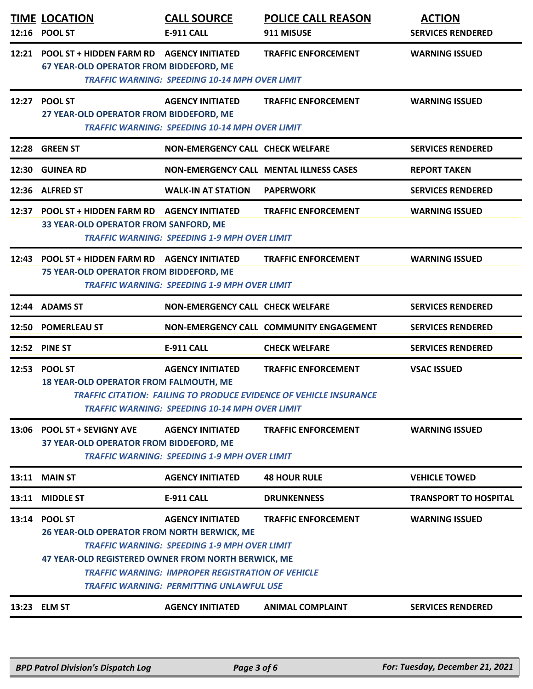|       | <b>TIME LOCATION</b><br>12:16 POOL ST                                                                                | <b>CALL SOURCE</b><br>E-911 CALL                                                                                                                                                              | <b>POLICE CALL REASON</b><br>911 MISUSE                                                          | <b>ACTION</b><br><b>SERVICES RENDERED</b> |
|-------|----------------------------------------------------------------------------------------------------------------------|-----------------------------------------------------------------------------------------------------------------------------------------------------------------------------------------------|--------------------------------------------------------------------------------------------------|-------------------------------------------|
| 12:21 | <b>POOL ST + HIDDEN FARM RD</b><br>67 YEAR-OLD OPERATOR FROM BIDDEFORD, ME                                           | <b>AGENCY INITIATED</b><br><b>TRAFFIC WARNING: SPEEDING 10-14 MPH OVER LIMIT</b>                                                                                                              | <b>TRAFFIC ENFORCEMENT</b>                                                                       | <b>WARNING ISSUED</b>                     |
|       | 12:27 POOL ST<br>27 YEAR-OLD OPERATOR FROM BIDDEFORD, ME                                                             | <b>AGENCY INITIATED</b><br><b>TRAFFIC WARNING: SPEEDING 10-14 MPH OVER LIMIT</b>                                                                                                              | <b>TRAFFIC ENFORCEMENT</b>                                                                       | <b>WARNING ISSUED</b>                     |
|       | 12:28 GREEN ST                                                                                                       | <b>NON-EMERGENCY CALL CHECK WELFARE</b>                                                                                                                                                       |                                                                                                  | <b>SERVICES RENDERED</b>                  |
| 12:30 | <b>GUINEA RD</b>                                                                                                     | <b>NON-EMERGENCY CALL MENTAL ILLNESS CASES</b>                                                                                                                                                |                                                                                                  | <b>REPORT TAKEN</b>                       |
|       | 12:36 ALFRED ST                                                                                                      | <b>WALK-IN AT STATION</b>                                                                                                                                                                     | <b>PAPERWORK</b>                                                                                 | <b>SERVICES RENDERED</b>                  |
| 12:37 | <b>POOL ST + HIDDEN FARM RD</b><br>33 YEAR-OLD OPERATOR FROM SANFORD, ME                                             | <b>AGENCY INITIATED</b><br><b>TRAFFIC WARNING: SPEEDING 1-9 MPH OVER LIMIT</b>                                                                                                                | <b>TRAFFIC ENFORCEMENT</b>                                                                       | <b>WARNING ISSUED</b>                     |
|       | 12:43 POOL ST + HIDDEN FARM RD<br>75 YEAR-OLD OPERATOR FROM BIDDEFORD, ME                                            | <b>AGENCY INITIATED</b><br><b>TRAFFIC WARNING: SPEEDING 1-9 MPH OVER LIMIT</b>                                                                                                                | <b>TRAFFIC ENFORCEMENT</b>                                                                       | <b>WARNING ISSUED</b>                     |
|       | 12:44 ADAMS ST                                                                                                       | <b>NON-EMERGENCY CALL CHECK WELFARE</b>                                                                                                                                                       |                                                                                                  | <b>SERVICES RENDERED</b>                  |
|       | 12:50 POMERLEAU ST                                                                                                   |                                                                                                                                                                                               | NON-EMERGENCY CALL COMMUNITY ENGAGEMENT                                                          | <b>SERVICES RENDERED</b>                  |
|       | 12:52 PINE ST                                                                                                        | <b>E-911 CALL</b>                                                                                                                                                                             | <b>CHECK WELFARE</b>                                                                             | <b>SERVICES RENDERED</b>                  |
|       | 12:53 POOL ST<br><b>18 YEAR-OLD OPERATOR FROM FALMOUTH, ME</b>                                                       | <b>AGENCY INITIATED</b><br><b>TRAFFIC WARNING: SPEEDING 10-14 MPH OVER LIMIT</b>                                                                                                              | <b>TRAFFIC ENFORCEMENT</b><br>TRAFFIC CITATION: FAILING TO PRODUCE EVIDENCE OF VEHICLE INSURANCE | <b>VSAC ISSUED</b>                        |
|       |                                                                                                                      |                                                                                                                                                                                               |                                                                                                  |                                           |
|       | 13:06 POOL ST + SEVIGNY AVE<br>37 YEAR-OLD OPERATOR FROM BIDDEFORD, ME                                               | <b>AGENCY INITIATED</b><br><b>TRAFFIC WARNING: SPEEDING 1-9 MPH OVER LIMIT</b>                                                                                                                | <b>TRAFFIC ENFORCEMENT</b>                                                                       | <b>WARNING ISSUED</b>                     |
| 13:11 | <b>MAIN ST</b>                                                                                                       | <b>AGENCY INITIATED</b>                                                                                                                                                                       | <b>48 HOUR RULE</b>                                                                              | <b>VEHICLE TOWED</b>                      |
| 13:11 | <b>MIDDLE ST</b>                                                                                                     | <b>E-911 CALL</b>                                                                                                                                                                             | <b>DRUNKENNESS</b>                                                                               | <b>TRANSPORT TO HOSPITAL</b>              |
| 13:14 | <b>POOL ST</b><br>26 YEAR-OLD OPERATOR FROM NORTH BERWICK, ME<br>47 YEAR-OLD REGISTERED OWNER FROM NORTH BERWICK, ME | <b>AGENCY INITIATED</b><br><b>TRAFFIC WARNING: SPEEDING 1-9 MPH OVER LIMIT</b><br><b>TRAFFIC WARNING: IMPROPER REGISTRATION OF VEHICLE</b><br><b>TRAFFIC WARNING: PERMITTING UNLAWFUL USE</b> | <b>TRAFFIC ENFORCEMENT</b>                                                                       | <b>WARNING ISSUED</b>                     |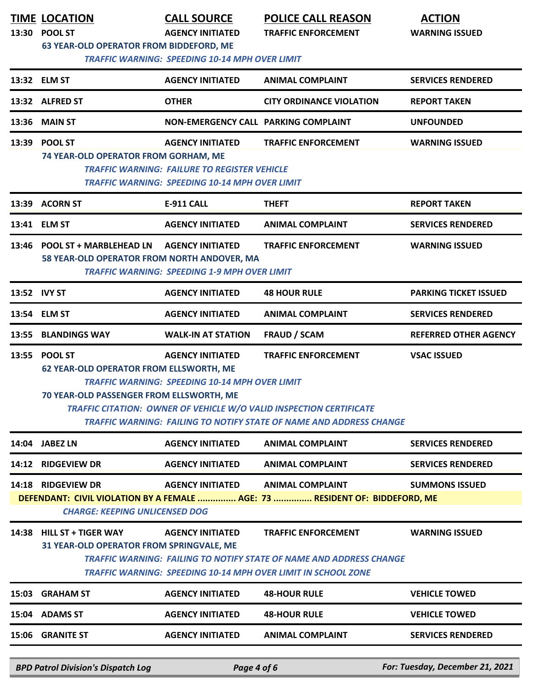|       | <b>TIME LOCATION</b><br>13:30 POOL ST<br><b>63 YEAR-OLD OPERATOR FROM BIDDEFORD, ME</b>                     | <b>CALL SOURCE</b><br><b>AGENCY INITIATED</b><br><b>TRAFFIC WARNING: SPEEDING 10-14 MPH OVER LIMIT</b>                                  | <b>POLICE CALL REASON</b><br><b>TRAFFIC ENFORCEMENT</b>                                                                                                                                | <b>ACTION</b><br><b>WARNING ISSUED</b> |
|-------|-------------------------------------------------------------------------------------------------------------|-----------------------------------------------------------------------------------------------------------------------------------------|----------------------------------------------------------------------------------------------------------------------------------------------------------------------------------------|----------------------------------------|
|       | 13:32 ELM ST                                                                                                | <b>AGENCY INITIATED</b>                                                                                                                 | <b>ANIMAL COMPLAINT</b>                                                                                                                                                                | <b>SERVICES RENDERED</b>               |
|       | 13:32 ALFRED ST                                                                                             | <b>OTHER</b>                                                                                                                            | <b>CITY ORDINANCE VIOLATION</b>                                                                                                                                                        | <b>REPORT TAKEN</b>                    |
| 13:36 | <b>MAIN ST</b>                                                                                              | NON-EMERGENCY CALL PARKING COMPLAINT                                                                                                    |                                                                                                                                                                                        | <b>UNFOUNDED</b>                       |
| 13:39 | <b>POOL ST</b><br>74 YEAR-OLD OPERATOR FROM GORHAM, ME                                                      | <b>AGENCY INITIATED</b><br><b>TRAFFIC WARNING: FAILURE TO REGISTER VEHICLE</b><br><b>TRAFFIC WARNING: SPEEDING 10-14 MPH OVER LIMIT</b> | <b>TRAFFIC ENFORCEMENT</b>                                                                                                                                                             | <b>WARNING ISSUED</b>                  |
| 13:39 | <b>ACORN ST</b>                                                                                             | E-911 CALL                                                                                                                              | <b>THEFT</b>                                                                                                                                                                           | <b>REPORT TAKEN</b>                    |
|       | 13:41 ELM ST                                                                                                | <b>AGENCY INITIATED</b>                                                                                                                 | <b>ANIMAL COMPLAINT</b>                                                                                                                                                                | <b>SERVICES RENDERED</b>               |
| 13:46 | <b>POOL ST + MARBLEHEAD LN</b><br>58 YEAR-OLD OPERATOR FROM NORTH ANDOVER, MA                               | <b>AGENCY INITIATED</b><br><b>TRAFFIC WARNING: SPEEDING 1-9 MPH OVER LIMIT</b>                                                          | <b>TRAFFIC ENFORCEMENT</b>                                                                                                                                                             | <b>WARNING ISSUED</b>                  |
|       | 13:52 IVY ST                                                                                                | <b>AGENCY INITIATED</b>                                                                                                                 | <b>48 HOUR RULE</b>                                                                                                                                                                    | <b>PARKING TICKET ISSUED</b>           |
|       | 13:54 ELM ST                                                                                                | <b>AGENCY INITIATED</b>                                                                                                                 | <b>ANIMAL COMPLAINT</b>                                                                                                                                                                | <b>SERVICES RENDERED</b>               |
| 13:55 | <b>BLANDINGS WAY</b>                                                                                        | <b>WALK-IN AT STATION</b>                                                                                                               | <b>FRAUD / SCAM</b>                                                                                                                                                                    | <b>REFERRED OTHER AGENCY</b>           |
|       | 13:55 POOL ST<br><b>62 YEAR-OLD OPERATOR FROM ELLSWORTH, ME</b><br>70 YEAR-OLD PASSENGER FROM ELLSWORTH, ME | <b>AGENCY INITIATED</b><br><b>TRAFFIC WARNING: SPEEDING 10-14 MPH OVER LIMIT</b>                                                        | <b>TRAFFIC ENFORCEMENT</b><br><b>TRAFFIC CITATION: OWNER OF VEHICLE W/O VALID INSPECTION CERTIFICATE</b><br><b>TRAFFIC WARNING: FAILING TO NOTIFY STATE OF NAME AND ADDRESS CHANGE</b> | <b>VSAC ISSUED</b>                     |
| 14:04 | <b>JABEZ LN</b>                                                                                             | <b>AGENCY INITIATED</b>                                                                                                                 | <b>ANIMAL COMPLAINT</b>                                                                                                                                                                | <b>SERVICES RENDERED</b>               |
| 14:12 | <b>RIDGEVIEW DR</b>                                                                                         | <b>AGENCY INITIATED</b>                                                                                                                 | <b>ANIMAL COMPLAINT</b>                                                                                                                                                                | <b>SERVICES RENDERED</b>               |
| 14:18 | <b>RIDGEVIEW DR</b><br><b>CHARGE: KEEPING UNLICENSED DOG</b>                                                | <b>AGENCY INITIATED</b>                                                                                                                 | <b>ANIMAL COMPLAINT</b><br>DEFENDANT: CIVIL VIOLATION BY A FEMALE  AGE: 73  RESIDENT OF: BIDDEFORD, ME                                                                                 | <b>SUMMONS ISSUED</b>                  |
|       | 14:38 HILL ST + TIGER WAY<br>31 YEAR-OLD OPERATOR FROM SPRINGVALE, ME                                       | <b>AGENCY INITIATED</b>                                                                                                                 | <b>TRAFFIC ENFORCEMENT</b><br><b>TRAFFIC WARNING: FAILING TO NOTIFY STATE OF NAME AND ADDRESS CHANGE</b><br><b>TRAFFIC WARNING: SPEEDING 10-14 MPH OVER LIMIT IN SCHOOL ZONE</b>       | <b>WARNING ISSUED</b>                  |
| 15:03 | <b>GRAHAM ST</b>                                                                                            | <b>AGENCY INITIATED</b>                                                                                                                 | <b>48-HOUR RULE</b>                                                                                                                                                                    | <b>VEHICLE TOWED</b>                   |
|       | 15:04 ADAMS ST                                                                                              | <b>AGENCY INITIATED</b>                                                                                                                 | <b>48-HOUR RULE</b>                                                                                                                                                                    | <b>VEHICLE TOWED</b>                   |
|       | 15:06 GRANITE ST                                                                                            | <b>AGENCY INITIATED</b>                                                                                                                 | <b>ANIMAL COMPLAINT</b>                                                                                                                                                                | <b>SERVICES RENDERED</b>               |
|       | <b>BPD Patrol Division's Dispatch Log</b>                                                                   | Page 4 of 6                                                                                                                             |                                                                                                                                                                                        | For: Tuesday, December 21, 2021        |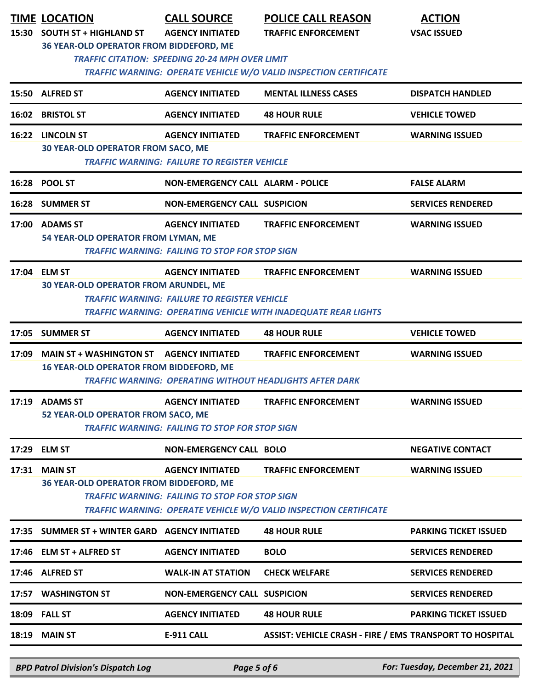| 15:30 | <b>TIME LOCATION</b><br><b>SOUTH ST + HIGHLAND ST</b>             | <b>CALL SOURCE</b><br><b>AGENCY INITIATED</b>         | <b>POLICE CALL REASON</b><br><b>TRAFFIC ENFORCEMENT</b>                  | <b>ACTION</b><br><b>VSAC ISSUED</b> |  |  |
|-------|-------------------------------------------------------------------|-------------------------------------------------------|--------------------------------------------------------------------------|-------------------------------------|--|--|
|       | 36 YEAR-OLD OPERATOR FROM BIDDEFORD, ME                           |                                                       |                                                                          |                                     |  |  |
|       | <b>TRAFFIC CITATION: SPEEDING 20-24 MPH OVER LIMIT</b>            |                                                       |                                                                          |                                     |  |  |
|       | TRAFFIC WARNING: OPERATE VEHICLE W/O VALID INSPECTION CERTIFICATE |                                                       |                                                                          |                                     |  |  |
|       | 15:50 ALFRED ST                                                   | <b>AGENCY INITIATED</b>                               | <b>MENTAL ILLNESS CASES</b>                                              | <b>DISPATCH HANDLED</b>             |  |  |
| 16:02 | <b>BRISTOL ST</b>                                                 | <b>AGENCY INITIATED</b>                               | <b>48 HOUR RULE</b>                                                      | <b>VEHICLE TOWED</b>                |  |  |
|       | 16:22 LINCOLN ST                                                  | <b>AGENCY INITIATED</b>                               | <b>TRAFFIC ENFORCEMENT</b>                                               | <b>WARNING ISSUED</b>               |  |  |
|       | <b>30 YEAR-OLD OPERATOR FROM SACO, ME</b>                         | <b>TRAFFIC WARNING: FAILURE TO REGISTER VEHICLE</b>   |                                                                          |                                     |  |  |
|       | 16:28 POOL ST                                                     | <b>NON-EMERGENCY CALL ALARM - POLICE</b>              |                                                                          | <b>FALSE ALARM</b>                  |  |  |
|       | 16:28 SUMMER ST                                                   | <b>NON-EMERGENCY CALL SUSPICION</b>                   |                                                                          | <b>SERVICES RENDERED</b>            |  |  |
| 17:00 | <b>ADAMS ST</b>                                                   | <b>AGENCY INITIATED</b>                               | <b>TRAFFIC ENFORCEMENT</b>                                               | <b>WARNING ISSUED</b>               |  |  |
|       | 54 YEAR-OLD OPERATOR FROM LYMAN, ME                               | <b>TRAFFIC WARNING: FAILING TO STOP FOR STOP SIGN</b> |                                                                          |                                     |  |  |
|       | 17:04 ELM ST                                                      | <b>AGENCY INITIATED</b>                               | <b>TRAFFIC ENFORCEMENT</b>                                               | <b>WARNING ISSUED</b>               |  |  |
|       | <b>30 YEAR-OLD OPERATOR FROM ARUNDEL, ME</b>                      |                                                       |                                                                          |                                     |  |  |
|       |                                                                   | <b>TRAFFIC WARNING: FAILURE TO REGISTER VEHICLE</b>   | <b>TRAFFIC WARNING: OPERATING VEHICLE WITH INADEQUATE REAR LIGHTS</b>    |                                     |  |  |
|       | 17:05 SUMMER ST                                                   | <b>AGENCY INITIATED</b>                               | <b>48 HOUR RULE</b>                                                      | <b>VEHICLE TOWED</b>                |  |  |
| 17:09 | <b>MAIN ST + WASHINGTON ST</b>                                    | <b>AGENCY INITIATED</b>                               | <b>TRAFFIC ENFORCEMENT</b>                                               | <b>WARNING ISSUED</b>               |  |  |
|       | <b>16 YEAR-OLD OPERATOR FROM BIDDEFORD, ME</b>                    |                                                       | <b>TRAFFIC WARNING: OPERATING WITHOUT HEADLIGHTS AFTER DARK</b>          |                                     |  |  |
|       | 17:19 ADAMS ST                                                    | <b>AGENCY INITIATED</b>                               | <b>TRAFFIC ENFORCEMENT</b>                                               | <b>WARNING ISSUED</b>               |  |  |
|       | 52 YEAR-OLD OPERATOR FROM SACO, ME                                | <b>TRAFFIC WARNING: FAILING TO STOP FOR STOP SIGN</b> |                                                                          |                                     |  |  |
|       | 17:29 ELM ST                                                      | <b>NON-EMERGENCY CALL BOLO</b>                        |                                                                          |                                     |  |  |
|       |                                                                   |                                                       |                                                                          | <b>NEGATIVE CONTACT</b>             |  |  |
|       | 17:31 MAIN ST<br>36 YEAR-OLD OPERATOR FROM BIDDEFORD, ME          | <b>AGENCY INITIATED</b>                               | <b>TRAFFIC ENFORCEMENT</b>                                               | <b>WARNING ISSUED</b>               |  |  |
|       |                                                                   | <b>TRAFFIC WARNING: FAILING TO STOP FOR STOP SIGN</b> |                                                                          |                                     |  |  |
|       |                                                                   |                                                       | <b>TRAFFIC WARNING: OPERATE VEHICLE W/O VALID INSPECTION CERTIFICATE</b> |                                     |  |  |
|       | 17:35 SUMMER ST + WINTER GARD AGENCY INITIATED                    |                                                       | <b>48 HOUR RULE</b>                                                      | <b>PARKING TICKET ISSUED</b>        |  |  |
|       | 17:46 ELM ST + ALFRED ST                                          | <b>AGENCY INITIATED</b>                               | <b>BOLO</b>                                                              | <b>SERVICES RENDERED</b>            |  |  |
|       | 17:46 ALFRED ST                                                   | <b>WALK-IN AT STATION</b>                             | <b>CHECK WELFARE</b>                                                     | <b>SERVICES RENDERED</b>            |  |  |
|       | 17:57 WASHINGTON ST                                               | <b>NON-EMERGENCY CALL SUSPICION</b>                   |                                                                          | <b>SERVICES RENDERED</b>            |  |  |
|       | 18:09 FALL ST                                                     | <b>AGENCY INITIATED</b>                               | <b>48 HOUR RULE</b>                                                      | <b>PARKING TICKET ISSUED</b>        |  |  |
|       | <b>18:19 MAIN ST</b>                                              | <b>E-911 CALL</b>                                     | <b>ASSIST: VEHICLE CRASH - FIRE / EMS TRANSPORT TO HOSPITAL</b>          |                                     |  |  |

*BPD Patrol Division's Dispatch Log Page 5 of 6 For: Tuesday, December 21, 2021*